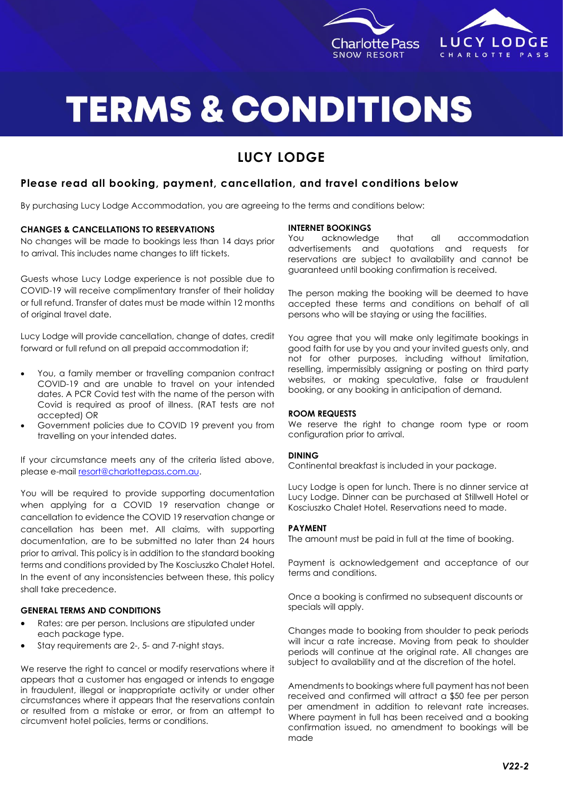

## **LUCY LODGE** CHARLOTTE PASS

# **TERMS & CONDITIONS**

### **LUCY LODGE**

#### **Please read all booking, payment, cancellation, and travel conditions below**

By purchasing Lucy Lodge Accommodation, you are agreeing to the terms and conditions below:

#### **CHANGES & CANCELLATIONS TO RESERVATIONS**

No changes will be made to bookings less than 14 days prior to arrival. This includes name changes to lift tickets.

Guests whose Lucy Lodge experience is not possible due to COVID-19 will receive complimentary transfer of their holiday or full refund. Transfer of dates must be made within 12 months of original travel date.

Lucy Lodge will provide cancellation, change of dates, credit forward or full refund on all prepaid accommodation if;

- You, a family member or travelling companion contract COVID-19 and are unable to travel on your intended dates. A PCR Covid test with the name of the person with Covid is required as proof of illness. (RAT tests are not accepted) OR
- Government policies due to COVID 19 prevent you from travelling on your intended dates.

If your circumstance meets any of the criteria listed above, please e-mail [resort@charlottepass.com.au.](mailto:resort@charlottepass.com.au)

You will be required to provide supporting documentation when applying for a COVID 19 reservation change or cancellation to evidence the COVID 19 reservation change or cancellation has been met. All claims, with supporting documentation, are to be submitted no later than 24 hours prior to arrival. This policy is in addition to the standard booking terms and conditions provided by The Kosciuszko Chalet Hotel. In the event of any inconsistencies between these, this policy shall take precedence.

#### **GENERAL TERMS AND CONDITIONS**

- Rates: are per person. Inclusions are stipulated under each package type.
- Stay requirements are 2-, 5- and 7-night stays.

We reserve the right to cancel or modify reservations where it appears that a customer has engaged or intends to engage in fraudulent, illegal or inappropriate activity or under other circumstances where it appears that the reservations contain or resulted from a mistake or error, or from an attempt to circumvent hotel policies, terms or conditions.

#### **INTERNET BOOKINGS**

You acknowledge that all accommodation advertisements and quotations and requests for reservations are subject to availability and cannot be guaranteed until booking confirmation is received.

The person making the booking will be deemed to have accepted these terms and conditions on behalf of all persons who will be staying or using the facilities.

You agree that you will make only legitimate bookings in good faith for use by you and your invited guests only, and not for other purposes, including without limitation, reselling, impermissibly assigning or posting on third party websites, or making speculative, false or fraudulent booking, or any booking in anticipation of demand.

#### **ROOM REQUESTS**

We reserve the right to change room type or room configuration prior to arrival.

#### **DINING**

Continental breakfast is included in your package.

Lucy Lodge is open for lunch. There is no dinner service at Lucy Lodge. Dinner can be purchased at Stillwell Hotel or Kosciuszko Chalet Hotel. Reservations need to made.

#### **PAYMENT**

The amount must be paid in full at the time of booking.

Payment is acknowledgement and acceptance of our terms and conditions.

Once a booking is confirmed no subsequent discounts or specials will apply.

Changes made to booking from shoulder to peak periods will incur a rate increase. Moving from peak to shoulder periods will continue at the original rate. All changes are subject to availability and at the discretion of the hotel.

Amendments to bookings where full payment has not been received and confirmed will attract a \$50 fee per person per amendment in addition to relevant rate increases. Where payment in full has been received and a booking confirmation issued, no amendment to bookings will be made